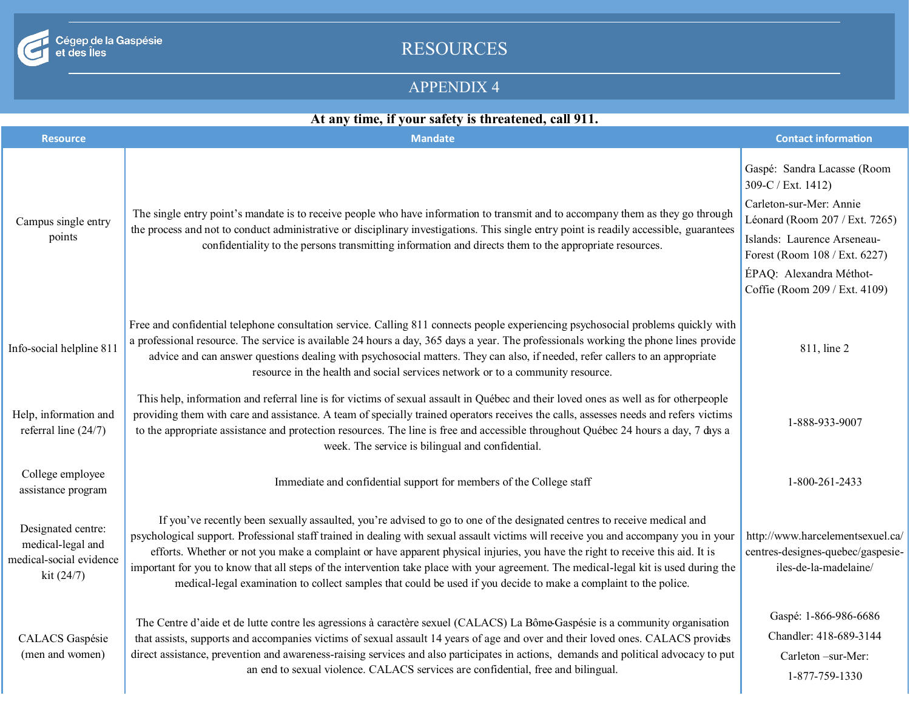

Cégep de la Gaspésie<br>et des Îles

# RESOURCES

### APPENDIX 4

## **At any time, if your safety is threatened, call 911.**

| <b>Resource</b>                                                                  | <b>Mandate</b>                                                                                                                                                                                                                                                                                                                                                                                                                                                                                                                                                                                                                                                 | <b>Contact information</b>                                                                                                                                                                                                                 |
|----------------------------------------------------------------------------------|----------------------------------------------------------------------------------------------------------------------------------------------------------------------------------------------------------------------------------------------------------------------------------------------------------------------------------------------------------------------------------------------------------------------------------------------------------------------------------------------------------------------------------------------------------------------------------------------------------------------------------------------------------------|--------------------------------------------------------------------------------------------------------------------------------------------------------------------------------------------------------------------------------------------|
| Campus single entry<br>points                                                    | The single entry point's mandate is to receive people who have information to transmit and to accompany them as they go through<br>the process and not to conduct administrative or disciplinary investigations. This single entry point is readily accessible, guarantees<br>confidentiality to the persons transmitting information and directs them to the appropriate resources.                                                                                                                                                                                                                                                                           | Gaspé: Sandra Lacasse (Room<br>309-C / Ext. 1412)<br>Carleton-sur-Mer: Annie<br>Léonard (Room 207 / Ext. 7265)<br>Islands: Laurence Arseneau-<br>Forest (Room 108 / Ext. 6227)<br>ÉPAQ: Alexandra Méthot-<br>Coffie (Room 209 / Ext. 4109) |
| Info-social helpline 811                                                         | Free and confidential telephone consultation service. Calling 811 connects people experiencing psychosocial problems quickly with<br>a professional resource. The service is available 24 hours a day, 365 days a year. The professionals working the phone lines provide<br>advice and can answer questions dealing with psychosocial matters. They can also, if needed, refer callers to an appropriate<br>resource in the health and social services network or to a community resource.                                                                                                                                                                    | 811, line 2                                                                                                                                                                                                                                |
| Help, information and<br>referral line $(24/7)$                                  | This help, information and referral line is for victims of sexual assault in Québec and their loved ones as well as for otherpeople<br>providing them with care and assistance. A team of specially trained operators receives the calls, assesses needs and refers victims<br>to the appropriate assistance and protection resources. The line is free and accessible throughout Québec 24 hours a day, 7 days a<br>week. The service is bilingual and confidential.                                                                                                                                                                                          | 1-888-933-9007                                                                                                                                                                                                                             |
| College employee<br>assistance program                                           | Immediate and confidential support for members of the College staff                                                                                                                                                                                                                                                                                                                                                                                                                                                                                                                                                                                            | 1-800-261-2433                                                                                                                                                                                                                             |
| Designated centre:<br>medical-legal and<br>medical-social evidence<br>kit (24/7) | If you've recently been sexually assaulted, you're advised to go to one of the designated centres to receive medical and<br>psychological support. Professional staff trained in dealing with sexual assault victims will receive you and accompany you in your<br>efforts. Whether or not you make a complaint or have apparent physical injuries, you have the right to receive this aid. It is<br>important for you to know that all steps of the intervention take place with your agreement. The medical-legal kit is used during the<br>medical-legal examination to collect samples that could be used if you decide to make a complaint to the police. | http://www.harcelementsexuel.ca/<br>centres-designes-quebec/gaspesie-<br>iles-de-la-madelaine/                                                                                                                                             |
| CALACS Gaspésie<br>(men and women)                                               | The Centre d'aide et de lutte contre les agressions à caractère sexuel (CALACS) La Bôme-Gaspésie is a community organisation<br>that assists, supports and accompanies victims of sexual assault 14 years of age and over and their loved ones. CALACS provides<br>direct assistance, prevention and awareness-raising services and also participates in actions, demands and political advocacy to put<br>an end to sexual violence. CALACS services are confidential, free and bilingual.                                                                                                                                                                    | Gaspé: 1-866-986-6686<br>Chandler: 418-689-3144<br>Carleton -sur-Mer:<br>1-877-759-1330                                                                                                                                                    |